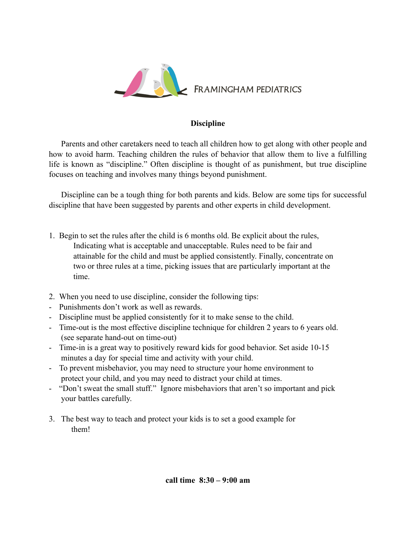

## **Discipline**

 Parents and other caretakers need to teach all children how to get along with other people and how to avoid harm. Teaching children the rules of behavior that allow them to live a fulfilling life is known as "discipline." Often discipline is thought of as punishment, but true discipline focuses on teaching and involves many things beyond punishment.

 Discipline can be a tough thing for both parents and kids. Below are some tips for successful discipline that have been suggested by parents and other experts in child development.

- 1. Begin to set the rules after the child is 6 months old. Be explicit about the rules, Indicating what is acceptable and unacceptable. Rules need to be fair and attainable for the child and must be applied consistently. Finally, concentrate on two or three rules at a time, picking issues that are particularly important at the time.
- 2. When you need to use discipline, consider the following tips:
- Punishments don't work as well as rewards.
- Discipline must be applied consistently for it to make sense to the child.
- Time-out is the most effective discipline technique for children 2 years to 6 years old. (see separate hand-out on time-out)
- Time-in is a great way to positively reward kids for good behavior. Set aside 10-15 minutes a day for special time and activity with your child.
- To prevent misbehavior, you may need to structure your home environment to protect your child, and you may need to distract your child at times.
- "Don't sweat the small stuff." Ignore misbehaviors that aren't so important and pick your battles carefully.
- 3. The best way to teach and protect your kids is to set a good example for them!